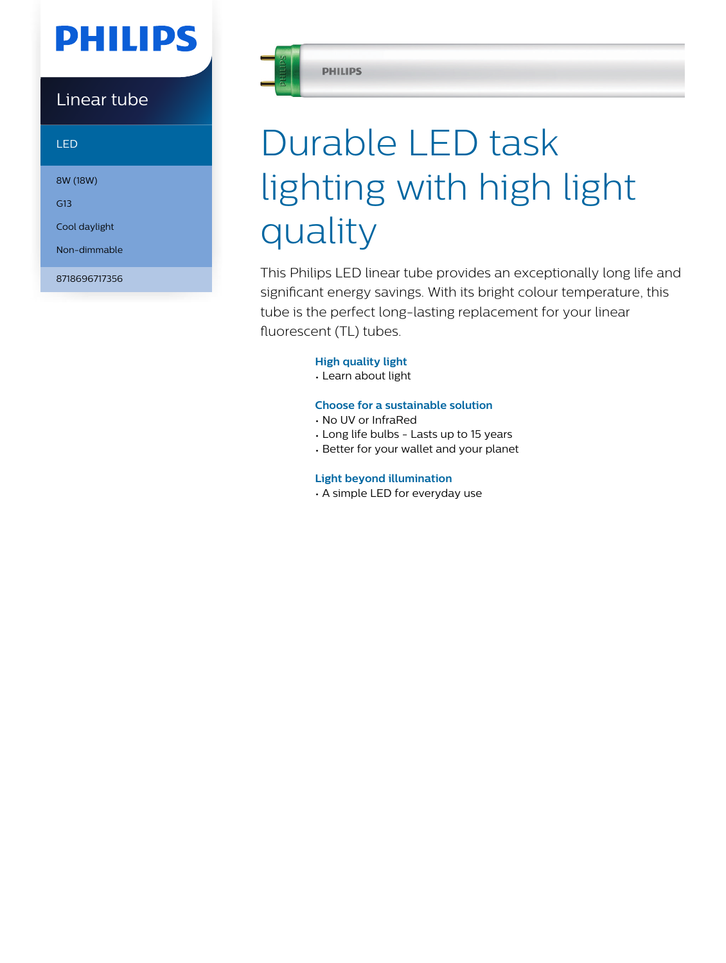## **PHILIPS**

### Linear tube

LED

8W (18W)

G13

Cool daylight

Non-dimmable

8718696717356



#### **PHILIPS**

# Durable LED task lighting with high light quality

This Philips LED linear tube provides an exceptionally long life and significant energy savings. With its bright colour temperature, this tube is the perfect long-lasting replacement for your linear fluorescent (TL) tubes.

### **High quality light**

• Learn about light

### **Choose for a sustainable solution**

- No UV or InfraRed
- Long life bulbs Lasts up to 15 years
- Better for your wallet and your planet

### **Light beyond illumination**

• A simple LED for everyday use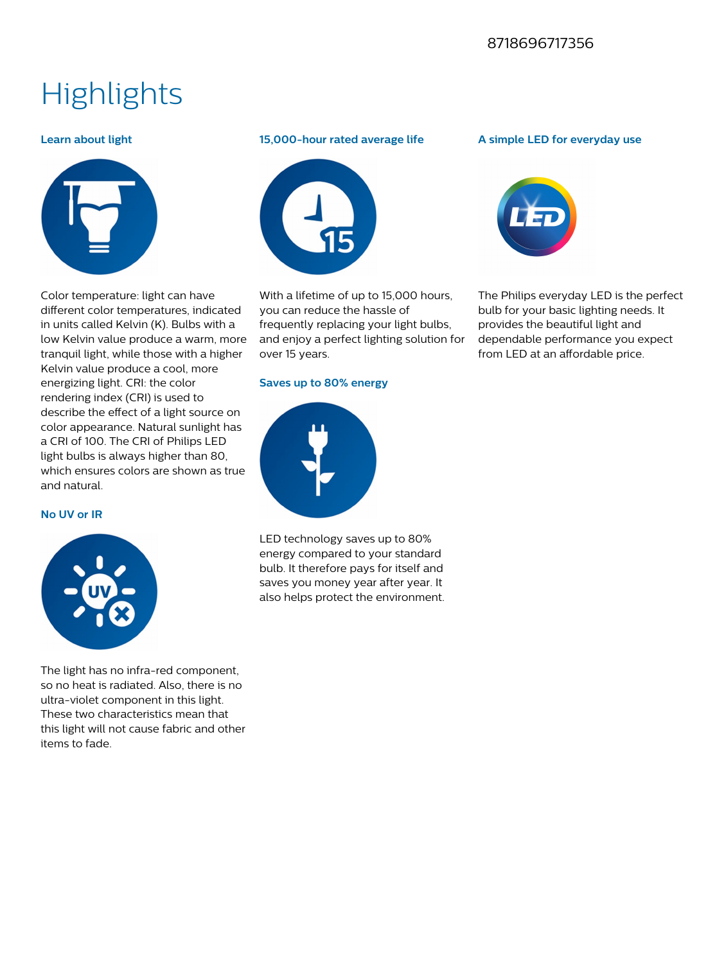### 8718696717356

### **Highlights**

### **Learn about light**



Color temperature: light can have different color temperatures, indicated in units called Kelvin (K). Bulbs with a low Kelvin value produce a warm, more tranquil light, while those with a higher Kelvin value produce a cool, more energizing light. CRI: the color rendering index (CRI) is used to describe the effect of a light source on color appearance. Natural sunlight has a CRI of 100. The CRI of Philips LED light bulbs is always higher than 80, which ensures colors are shown as true and natural.

#### **No UV or IR**



The light has no infra-red component, so no heat is radiated. Also, there is no ultra-violet component in this light. These two characteristics mean that this light will not cause fabric and other items to fade.

### **15,000-hour rated average life**



With a lifetime of up to 15,000 hours, you can reduce the hassle of frequently replacing your light bulbs, and enjoy a perfect lighting solution for over 15 years.

### **Saves up to 80% energy**



LED technology saves up to 80% energy compared to your standard bulb. It therefore pays for itself and saves you money year after year. It also helps protect the environment.

### **A simple LED for everyday use**



The Philips everyday LED is the perfect bulb for your basic lighting needs. It provides the beautiful light and dependable performance you expect from LED at an affordable price.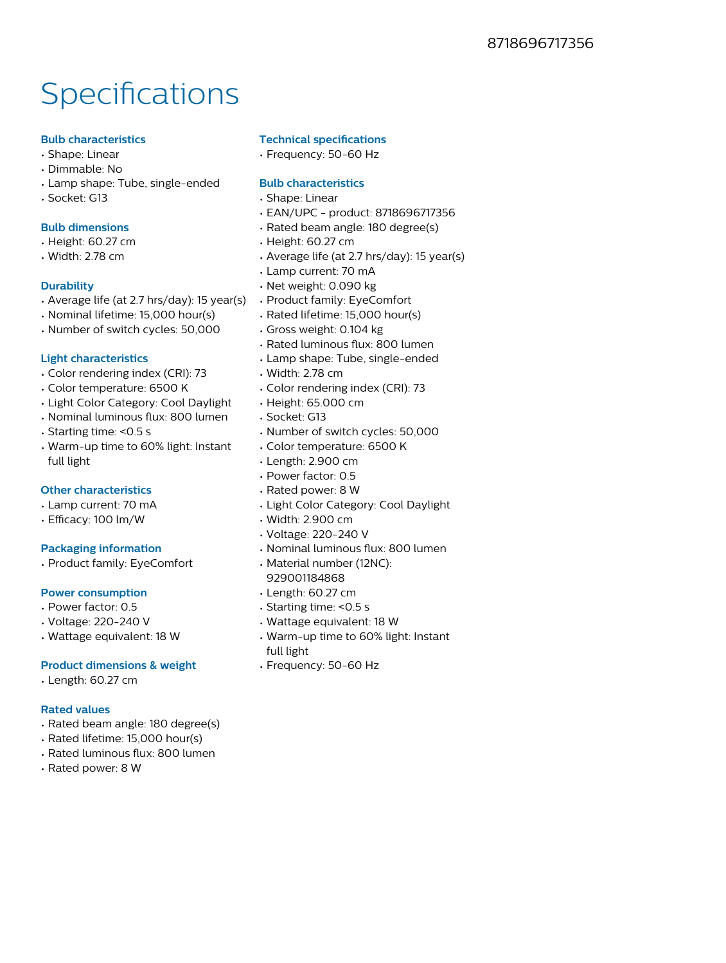## **Specifications**

### **Bulb characteristics**

- Shape: Linear
- Dimmable: No
- Lamp shape: Tube, single-ended
- Socket: G13

### **Bulb dimensions**

- Height: 60.27 cm
- Width: 2.78 cm

### **Durability**

- Average life (at 2.7 hrs/day): 15 year(s)
- Nominal lifetime: 15,000 hour(s)
- Number of switch cycles: 50,000

### **Light characteristics**

- Color rendering index (CRI): 73
- Color temperature: 6500 K
- Light Color Category: Cool Daylight
- Nominal luminous flux: 800 lumen
- Starting time: <0.5 s
- Warm-up time to 60% light: Instant full light

### **Other characteristics**

- Lamp current: 70 mA
- Efficacy: 100 lm/W

### **Packaging information**

• Product family: EyeComfort

### **Power consumption**

- Power factor: 0.5
- Voltage: 220-240 V
- Wattage equivalent: 18 W

### **Product dimensions & weight**

• Length: 60.27 cm

### **Rated values**

- Rated beam angle: 180 degree(s)
- Rated lifetime: 15,000 hour(s)
- Rated luminous flux: 800 lumen
- Rated power: 8 W

### **Technical specifications**

• Frequency: 50-60 Hz

### **Bulb characteristics**

- Shape: Linear
- EAN/UPC product: 8718696717356
- Rated beam angle: 180 degree(s)
- Height: 60.27 cm
- Average life (at 2.7 hrs/day): 15 year(s)
- Lamp current: 70 mA
- Net weight: 0.090 kg
- Product family: EyeComfort
- Rated lifetime: 15,000 hour(s)
- Gross weight: 0.104 kg
- Rated luminous flux: 800 lumen
- Lamp shape: Tube, single-ended
- Width: 2.78 cm
- Color rendering index (CRI): 73
- Height: 65.000 cm
- Socket: G13
- Number of switch cycles: 50,000
- Color temperature: 6500 K
- Length: 2.900 cm
- Power factor: 0.5
- Rated power: 8 W
- Light Color Category: Cool Daylight
- Width: 2.900 cm
- Voltage: 220-240 V
- Nominal luminous flux: 800 lumen
- Material number (12NC): 929001184868
- Length: 60.27 cm
- Starting time: <0.5 s
- Wattage equivalent: 18 W
- Warm-up time to 60% light: Instant full light
- Frequency: 50-60 Hz